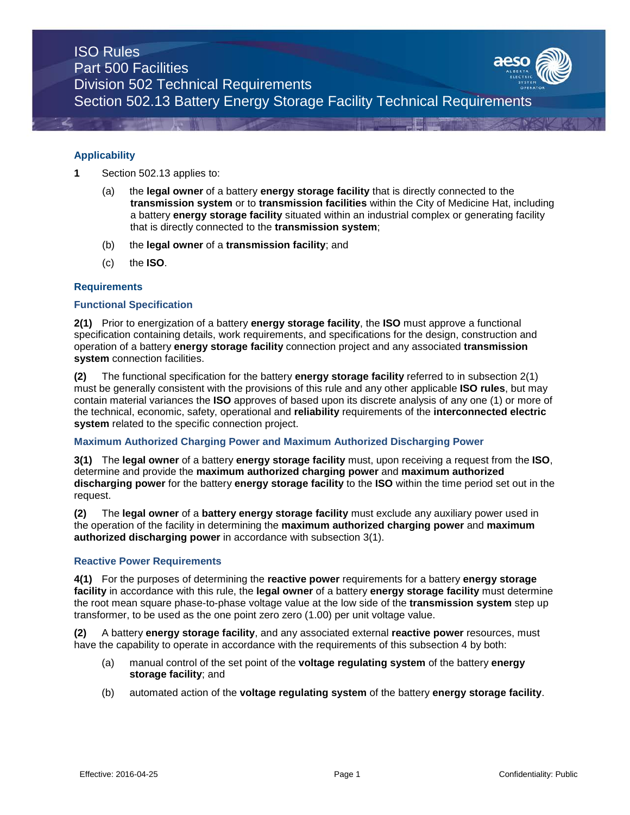#### **Applicability**

- **1** Section 502.13 applies to:
	- (a) the **legal owner** of a battery **energy storage facility** that is directly connected to the **transmission system** or to **transmission facilities** within the City of Medicine Hat, including a battery **energy storage facility** situated within an industrial complex or generating facility that is directly connected to the **transmission system**;
	- (b) the **legal owner** of a **transmission facility**; and
	- (c) the **ISO**.

#### **Requirements**

#### **Functional Specification**

**2(1)** Prior to energization of a battery **energy storage facility**, the **ISO** must approve a functional specification containing details, work requirements, and specifications for the design, construction and operation of a battery **energy storage facility** connection project and any associated **transmission system** connection facilities.

**(2)** The functional specification for the battery **energy storage facility** referred to in subsection 2(1) must be generally consistent with the provisions of this rule and any other applicable **ISO rules**, but may contain material variances the **ISO** approves of based upon its discrete analysis of any one (1) or more of the technical, economic, safety, operational and **reliability** requirements of the **interconnected electric system** related to the specific connection project.

#### **Maximum Authorized Charging Power and Maximum Authorized Discharging Power**

**3(1)** The **legal owner** of a battery **energy storage facility** must, upon receiving a request from the **ISO**, determine and provide the **maximum authorized charging power** and **maximum authorized discharging power** for the battery **energy storage facility** to the **ISO** within the time period set out in the request.

**(2)** The **legal owner** of a **battery energy storage facility** must exclude any auxiliary power used in the operation of the facility in determining the **maximum authorized charging power** and **maximum authorized discharging power** in accordance with subsection 3(1).

#### **Reactive Power Requirements**

**4(1)** For the purposes of determining the **reactive power** requirements for a battery **energy storage facility** in accordance with this rule, the **legal owner** of a battery **energy storage facility** must determine the root mean square phase-to-phase voltage value at the low side of the **transmission system** step up transformer, to be used as the one point zero zero (1.00) per unit voltage value.

**(2)** A battery **energy storage facility**, and any associated external **reactive power** resources, must have the capability to operate in accordance with the requirements of this subsection 4 by both:

- (a) manual control of the set point of the **voltage regulating system** of the battery **energy storage facility**; and
- (b) automated action of the **voltage regulating system** of the battery **energy storage facility**.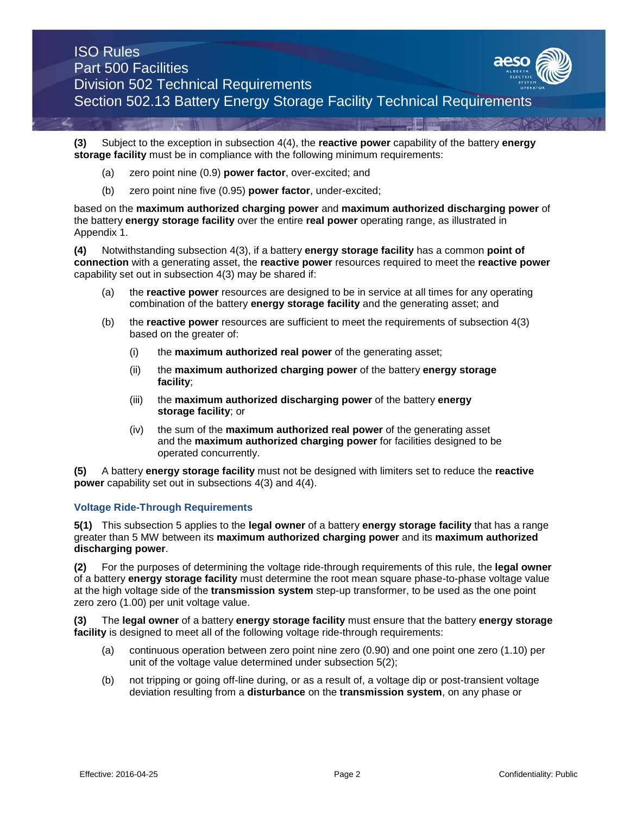**(3)** Subject to the exception in subsection 4(4), the **reactive power** capability of the battery **energy storage facility** must be in compliance with the following minimum requirements:

- (a) zero point nine (0.9) **power factor**, over-excited; and
- (b) zero point nine five (0.95) **power factor**, under-excited;

based on the **maximum authorized charging power** and **maximum authorized discharging power** of the battery **energy storage facility** over the entire **real power** operating range, as illustrated in Appendix 1.

**(4)** Notwithstanding subsection 4(3), if a battery **energy storage facility** has a common **point of connection** with a generating asset, the **reactive power** resources required to meet the **reactive power**  capability set out in subsection 4(3) may be shared if:

- (a) the **reactive power** resources are designed to be in service at all times for any operating combination of the battery **energy storage facility** and the generating asset; and
- (b) the **reactive power** resources are sufficient to meet the requirements of subsection 4(3) based on the greater of:
	- (i) the **maximum authorized real power** of the generating asset;
	- (ii) the **maximum authorized charging power** of the battery **energy storage facility**;
	- (iii) the **maximum authorized discharging power** of the battery **energy storage facility**; or
	- (iv) the sum of the **maximum authorized real power** of the generating asset and the **maximum authorized charging power** for facilities designed to be operated concurrently.

**(5)** A battery **energy storage facility** must not be designed with limiters set to reduce the **reactive power** capability set out in subsections 4(3) and 4(4).

#### **Voltage Ride-Through Requirements**

**5(1)** This subsection 5 applies to the **legal owner** of a battery **energy storage facility** that has a range greater than 5 MW between its **maximum authorized charging power** and its **maximum authorized discharging power**.

**(2)** For the purposes of determining the voltage ride-through requirements of this rule, the **legal owner**  of a battery **energy storage facility** must determine the root mean square phase-to-phase voltage value at the high voltage side of the **transmission system** step-up transformer, to be used as the one point zero zero (1.00) per unit voltage value.

**(3)** The **legal owner** of a battery **energy storage facility** must ensure that the battery **energy storage facility** is designed to meet all of the following voltage ride-through requirements:

- (a) continuous operation between zero point nine zero (0.90) and one point one zero (1.10) per unit of the voltage value determined under subsection 5(2);
- (b) not tripping or going off-line during, or as a result of, a voltage dip or post-transient voltage deviation resulting from a **disturbance** on the **transmission system**, on any phase or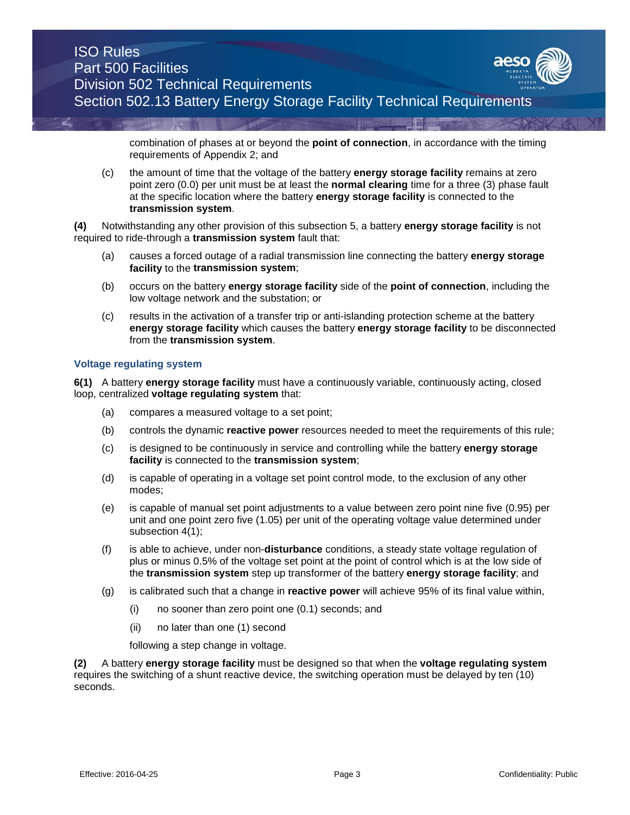

combination of phases at or beyond the **point of connection**, in accordance with the timing requirements of Appendix 2; and

(c) the amount of time that the voltage of the battery **energy storage facility** remains at zero point zero (0.0) per unit must be at least the **normal clearing** time for a three (3) phase fault at the specific location where the battery **energy storage facility** is connected to the **transmission system**.

**(4)** Notwithstanding any other provision of this subsection 5, a battery **energy storage facility** is not required to ride-through a **transmission system** fault that:

- (a) causes a forced outage of a radial transmission line connecting the battery **energy storage facility** to the **transmission system**;
- (b) occurs on the battery **energy storage facility** side of the **point of connection**, including the low voltage network and the substation; or
- (c) results in the activation of a transfer trip or anti-islanding protection scheme at the battery **energy storage facility** which causes the battery **energy storage facility** to be disconnected from the **transmission system**.

#### **Voltage regulating system**

**6(1)** A battery **energy storage facility** must have a continuously variable, continuously acting, closed loop, centralized **voltage regulating system** that:

- (a) compares a measured voltage to a set point;
- (b) controls the dynamic **reactive power** resources needed to meet the requirements of this rule;
- (c) is designed to be continuously in service and controlling while the battery **energy storage facility** is connected to the **transmission system**;
- (d) is capable of operating in a voltage set point control mode, to the exclusion of any other modes;
- (e) is capable of manual set point adjustments to a value between zero point nine five (0.95) per unit and one point zero five (1.05) per unit of the operating voltage value determined under subsection 4(1);
- (f) is able to achieve, under non-**disturbance** conditions, a steady state voltage regulation of plus or minus 0.5% of the voltage set point at the point of control which is at the low side of the **transmission system** step up transformer of the battery **energy storage facility**; and
- (g) is calibrated such that a change in **reactive power** will achieve 95% of its final value within,
	- (i) no sooner than zero point one (0.1) seconds; and
	- (ii) no later than one (1) second

following a step change in voltage.

**(2)** A battery **energy storage facility** must be designed so that when the **voltage regulating system** requires the switching of a shunt reactive device, the switching operation must be delayed by ten (10) seconds.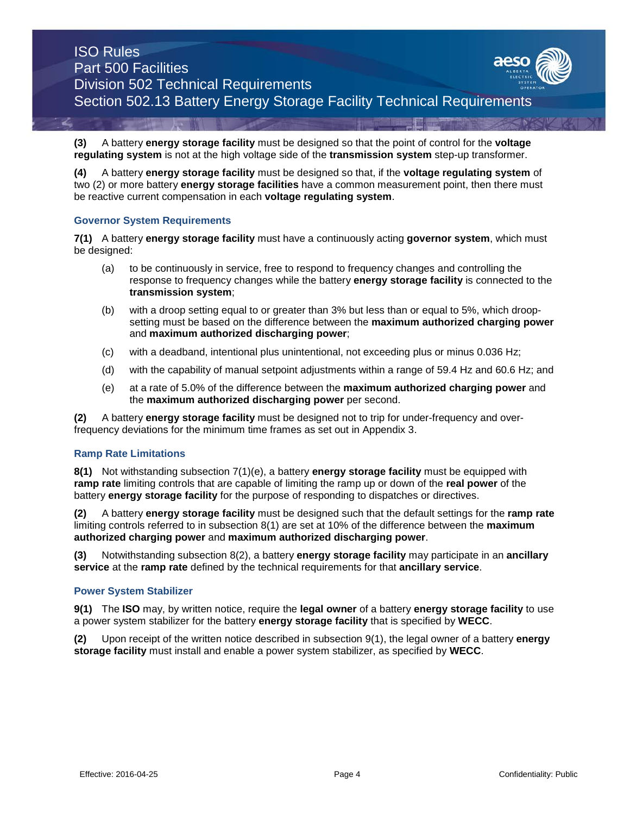**(3)** A battery **energy storage facility** must be designed so that the point of control for the **voltage regulating system** is not at the high voltage side of the **transmission system** step-up transformer.

**(4)** A battery **energy storage facility** must be designed so that, if the **voltage regulating system** of two (2) or more battery **energy storage facilities** have a common measurement point, then there must be reactive current compensation in each **voltage regulating system**.

#### **Governor System Requirements**

**7(1)** A battery **energy storage facility** must have a continuously acting **governor system**, which must be designed:

- (a) to be continuously in service, free to respond to frequency changes and controlling the response to frequency changes while the battery **energy storage facility** is connected to the **transmission system**;
- (b) with a droop setting equal to or greater than 3% but less than or equal to 5%, which droopsetting must be based on the difference between the **maximum authorized charging power** and **maximum authorized discharging power**;
- (c) with a deadband, intentional plus unintentional, not exceeding plus or minus 0.036 Hz;
- (d) with the capability of manual setpoint adjustments within a range of 59.4 Hz and 60.6 Hz; and
- (e) at a rate of 5.0% of the difference between the **maximum authorized charging power** and the **maximum authorized discharging power** per second.

**(2)** A battery **energy storage facility** must be designed not to trip for under-frequency and overfrequency deviations for the minimum time frames as set out in Appendix 3.

#### **Ramp Rate Limitations**

**8(1)** Not withstanding subsection 7(1)(e), a battery **energy storage facility** must be equipped with **ramp rate** limiting controls that are capable of limiting the ramp up or down of the **real power** of the battery **energy storage facility** for the purpose of responding to dispatches or directives.

**(2)** A battery **energy storage facility** must be designed such that the default settings for the **ramp rate**  limiting controls referred to in subsection 8(1) are set at 10% of the difference between the **maximum authorized charging power** and **maximum authorized discharging power**.

**(3)** Notwithstanding subsection 8(2), a battery **energy storage facility** may participate in an **ancillary service** at the **ramp rate** defined by the technical requirements for that **ancillary service**.

#### **Power System Stabilizer**

**9(1)** The **ISO** may, by written notice, require the **legal owner** of a battery **energy storage facility** to use a power system stabilizer for the battery **energy storage facility** that is specified by **WECC**.

**(2)** Upon receipt of the written notice described in subsection 9(1), the legal owner of a battery **energy storage facility** must install and enable a power system stabilizer, as specified by **WECC**.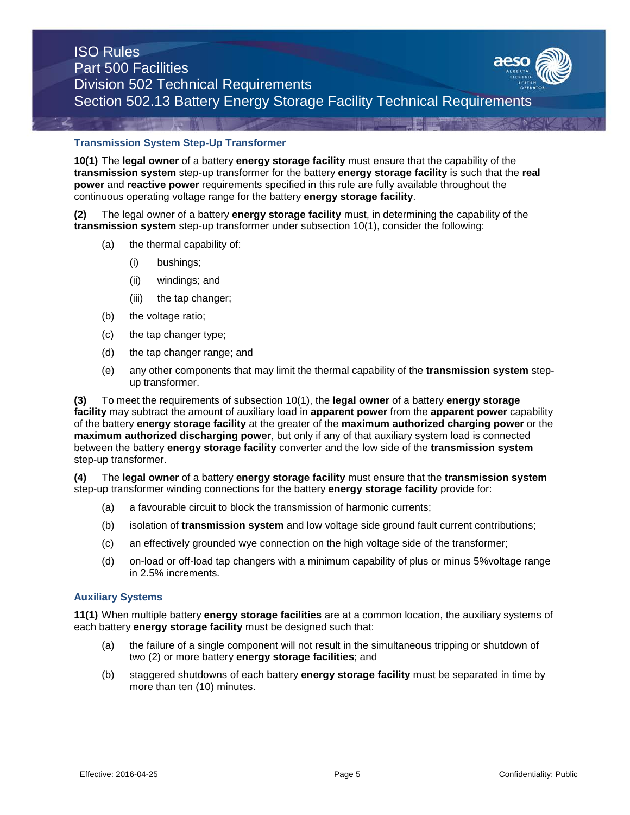

#### **Transmission System Step-Up Transformer**

**10(1)** The **legal owner** of a battery **energy storage facility** must ensure that the capability of the **transmission system** step-up transformer for the battery **energy storage facility** is such that the **real power** and **reactive power** requirements specified in this rule are fully available throughout the continuous operating voltage range for the battery **energy storage facility**.

**(2)** The legal owner of a battery **energy storage facility** must, in determining the capability of the **transmission system** step-up transformer under subsection 10(1), consider the following:

- (a) the thermal capability of:
	- (i) bushings;
	- (ii) windings; and
	- (iii) the tap changer;
- (b) the voltage ratio;
- (c) the tap changer type;
- (d) the tap changer range; and
- (e) any other components that may limit the thermal capability of the **transmission system** stepup transformer.

**(3)** To meet the requirements of subsection 10(1), the **legal owner** of a battery **energy storage facility** may subtract the amount of auxiliary load in **apparent power** from the **apparent power** capability of the battery **energy storage facility** at the greater of the **maximum authorized charging power** or the **maximum authorized discharging power**, but only if any of that auxiliary system load is connected between the battery **energy storage facility** converter and the low side of the **transmission system**  step-up transformer.

**(4)** The **legal owner** of a battery **energy storage facility** must ensure that the **transmission system**  step-up transformer winding connections for the battery **energy storage facility** provide for:

- (a) a favourable circuit to block the transmission of harmonic currents;
- (b) isolation of **transmission system** and low voltage side ground fault current contributions;
- (c) an effectively grounded wye connection on the high voltage side of the transformer;
- (d) on-load or off-load tap changers with a minimum capability of plus or minus 5%voltage range in 2.5% increments*.*

#### **Auxiliary Systems**

**11(1)** When multiple battery **energy storage facilities** are at a common location, the auxiliary systems of each battery **energy storage facility** must be designed such that:

- (a) the failure of a single component will not result in the simultaneous tripping or shutdown of two (2) or more battery **energy storage facilities**; and
- (b) staggered shutdowns of each battery **energy storage facility** must be separated in time by more than ten (10) minutes.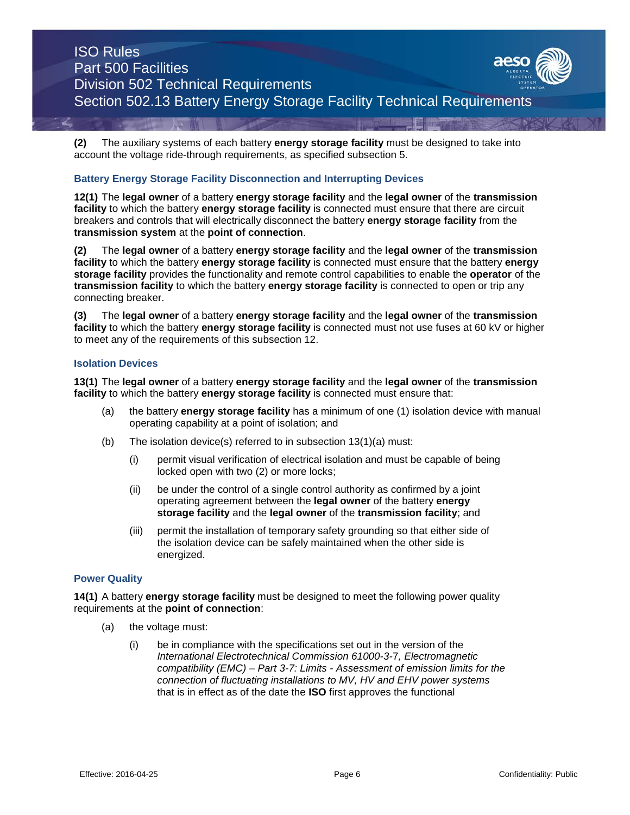**(2)** The auxiliary systems of each battery **energy storage facility** must be designed to take into account the voltage ride-through requirements, as specified subsection 5.

#### **Battery Energy Storage Facility Disconnection and Interrupting Devices**

**12(1)** The **legal owner** of a battery **energy storage facility** and the **legal owner** of the **transmission facility** to which the battery **energy storage facility** is connected must ensure that there are circuit breakers and controls that will electrically disconnect the battery **energy storage facility** from the **transmission system** at the **point of connection**.

**(2)** The **legal owner** of a battery **energy storage facility** and the **legal owner** of the **transmission facility** to which the battery **energy storage facility** is connected must ensure that the battery **energy storage facility** provides the functionality and remote control capabilities to enable the **operator** of the **transmission facility** to which the battery **energy storage facility** is connected to open or trip any connecting breaker.

**(3)** The **legal owner** of a battery **energy storage facility** and the **legal owner** of the **transmission facility** to which the battery **energy storage facility** is connected must not use fuses at 60 kV or higher to meet any of the requirements of this subsection 12.

#### **Isolation Devices**

**13(1)** The **legal owner** of a battery **energy storage facility** and the **legal owner** of the **transmission facility** to which the battery **energy storage facility** is connected must ensure that:

- (a) the battery **energy storage facility** has a minimum of one (1) isolation device with manual operating capability at a point of isolation; and
- (b) The isolation device(s) referred to in subsection 13(1)(a) must:
	- (i) permit visual verification of electrical isolation and must be capable of being locked open with two (2) or more locks;
	- (ii) be under the control of a single control authority as confirmed by a joint operating agreement between the **legal owner** of the battery **energy storage facility** and the **legal owner** of the **transmission facility**; and
	- (iii) permit the installation of temporary safety grounding so that either side of the isolation device can be safely maintained when the other side is energized.

#### **Power Quality**

**14(1)** A battery **energy storage facility** must be designed to meet the following power quality requirements at the **point of connection**:

- (a) the voltage must:
	- (i) be in compliance with the specifications set out in the version of the *International Electrotechnical Commission 61000-3-*7*, Electromagnetic compatibility (EMC) – Part 3-7: Limits - Assessment of emission limits for the connection of fluctuating installations to MV, HV and EHV power systems*  that is in effect as of the date the **ISO** first approves the functional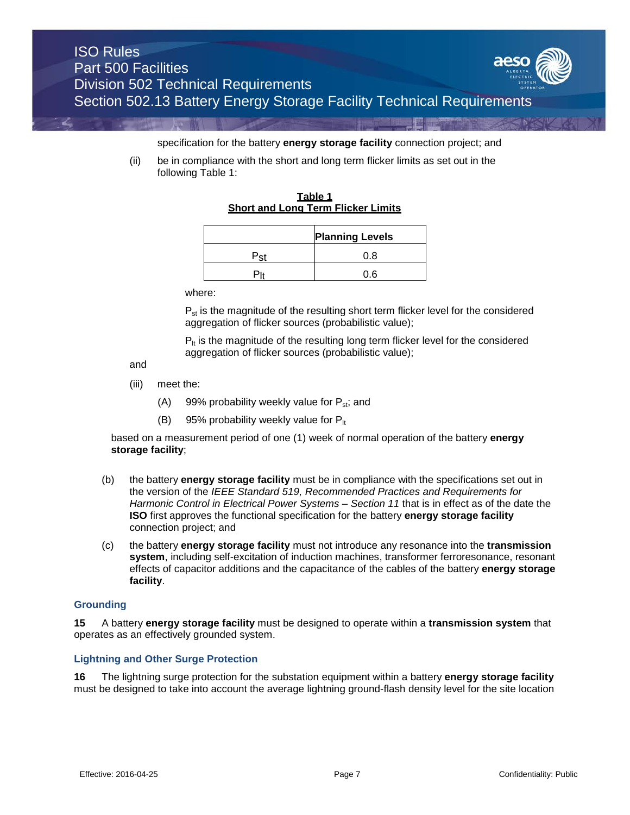

specification for the battery **energy storage facility** connection project; and

(ii) be in compliance with the short and long term flicker limits as set out in the following Table 1:

**Table 1 Short and Long Term Flicker Limits**

| <b>Planning Levels</b> |  |  |
|------------------------|--|--|
| 41 R                   |  |  |
|                        |  |  |

where:

 $P_{st}$  is the magnitude of the resulting short term flicker level for the considered aggregation of flicker sources (probabilistic value);

 $P_{\text{th}}$  is the magnitude of the resulting long term flicker level for the considered aggregation of flicker sources (probabilistic value);

and

- (iii) meet the:
	- (A) 99% probability weekly value for  $P_{st}$ ; and
	- (B) 95% probability weekly value for  $P_{\text{lt}}$

based on a measurement period of one (1) week of normal operation of the battery **energy storage facility**;

- (b) the battery **energy storage facility** must be in compliance with the specifications set out in the version of the *IEEE Standard 519, Recommended Practices and Requirements for Harmonic Control in Electrical Power Systems – Section 11* that is in effect as of the date the **ISO** first approves the functional specification for the battery **energy storage facility**  connection project; and
- (c) the battery **energy storage facility** must not introduce any resonance into the **transmission system**, including self-excitation of induction machines, transformer ferroresonance, resonant effects of capacitor additions and the capacitance of the cables of the battery **energy storage facility**.

#### **Grounding**

**15** A battery **energy storage facility** must be designed to operate within a **transmission system** that operates as an effectively grounded system.

#### **Lightning and Other Surge Protection**

**16** The lightning surge protection for the substation equipment within a battery **energy storage facility** must be designed to take into account the average lightning ground-flash density level for the site location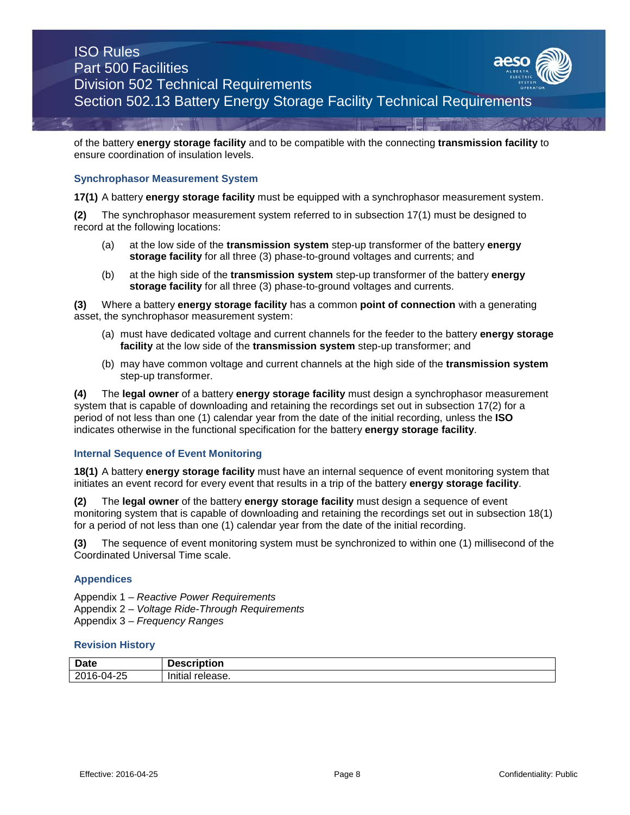of the battery **energy storage facility** and to be compatible with the connecting **transmission facility** to ensure coordination of insulation levels.

#### **Synchrophasor Measurement System**

**17(1)** A battery **energy storage facility** must be equipped with a synchrophasor measurement system.

**(2)** The synchrophasor measurement system referred to in subsection 17(1) must be designed to record at the following locations:

- (a) at the low side of the **transmission system** step-up transformer of the battery **energy storage facility** for all three (3) phase-to-ground voltages and currents; and
- (b) at the high side of the **transmission system** step-up transformer of the battery **energy storage facility** for all three (3) phase-to-ground voltages and currents.

**(3)** Where a battery **energy storage facility** has a common **point of connection** with a generating asset, the synchrophasor measurement system:

- (a) must have dedicated voltage and current channels for the feeder to the battery **energy storage facility** at the low side of the **transmission system** step-up transformer; and
- (b) may have common voltage and current channels at the high side of the **transmission system** step-up transformer.

**(4)** The **legal owner** of a battery **energy storage facility** must design a synchrophasor measurement system that is capable of downloading and retaining the recordings set out in subsection 17(2) for a period of not less than one (1) calendar year from the date of the initial recording, unless the **ISO** indicates otherwise in the functional specification for the battery **energy storage facility**.

#### **Internal Sequence of Event Monitoring**

**18(1)** A battery **energy storage facility** must have an internal sequence of event monitoring system that initiates an event record for every event that results in a trip of the battery **energy storage facility**.

**(2)** The **legal owner** of the battery **energy storage facility** must design a sequence of event monitoring system that is capable of downloading and retaining the recordings set out in subsection 18(1) for a period of not less than one (1) calendar year from the date of the initial recording.

**(3)** The sequence of event monitoring system must be synchronized to within one (1) millisecond of the Coordinated Universal Time scale.

#### **Appendices**

Appendix 1 – *Reactive Power Requirements*  Appendix 2 – *Voltage Ride-Through Requirements*  Appendix 3 – *Frequency Ranges*

#### **Revision History**

| <b>Date</b>    | -<br>Description         |
|----------------|--------------------------|
| 16-04-25<br>20 | .<br>release.<br>Initial |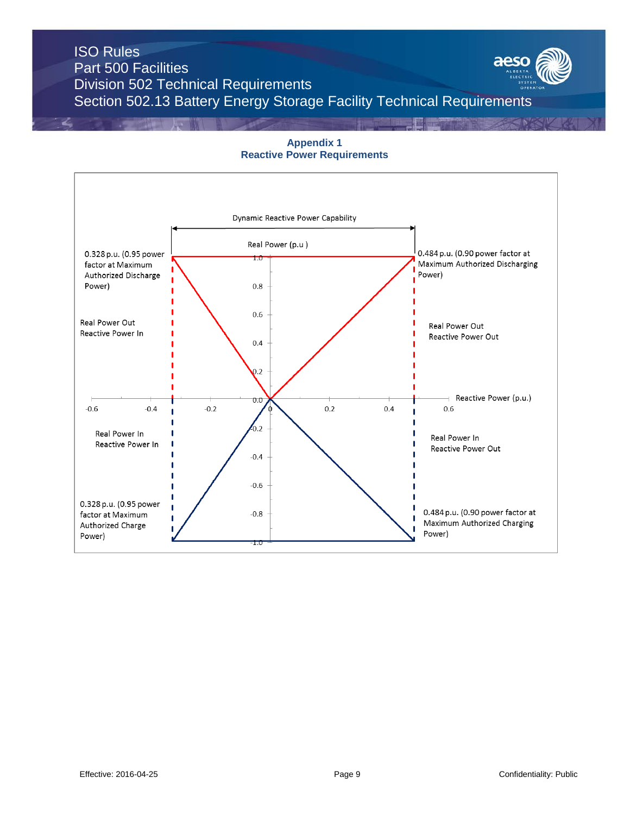**Appendix 1 Reactive Power Requirements** 

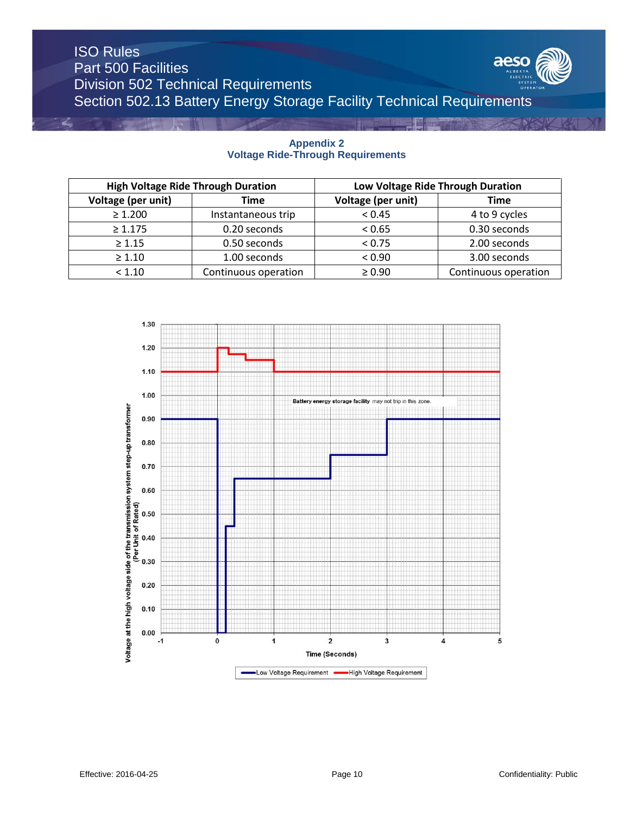

| <b>High Voltage Ride Through Duration</b> |                      | Low Voltage Ride Through Duration |                      |
|-------------------------------------------|----------------------|-----------------------------------|----------------------|
| Voltage (per unit)                        | Time                 | Voltage (per unit)                | <b>Time</b>          |
| $\geq 1.200$                              | Instantaneous trip   | < 0.45                            | 4 to 9 cycles        |
| $\geq 1.175$                              | 0.20 seconds         | < 0.65                            | 0.30 seconds         |
| $\geq 1.15$                               | 0.50 seconds         | < 0.75                            | 2.00 seconds         |
| $\geq 1.10$                               | 1.00 seconds         | < 0.90                            | 3.00 seconds         |
| < 1.10                                    | Continuous operation | $\geq 0.90$                       | Continuous operation |

# 1.30  $1.20$  $1.10$  $1.00$ Battery storage facility may not trip in this zone energy Voltage at the high voltage side of the transmission system step-up transformer (Per Unit of Rated)<br>  $\frac{6}{5}$  o  $\frac{6}{5}$  o  $\frac{6}{5}$  o  $\frac{6}{5}$  o  $\frac{6}{5}$  o  $\frac{6}{5}$  o  $\frac{6}{5}$  o  $\frac{6}{5}$  $\pmb{0}$  $\mathbf 2$ 3  $\overline{\mathbf{4}}$  $-1$ 1 5 **Time (Seconds)** -Low Voltage Requirement -High Voltage Requirement

#### **Appendix 2 Voltage Ride-Through Requirements**